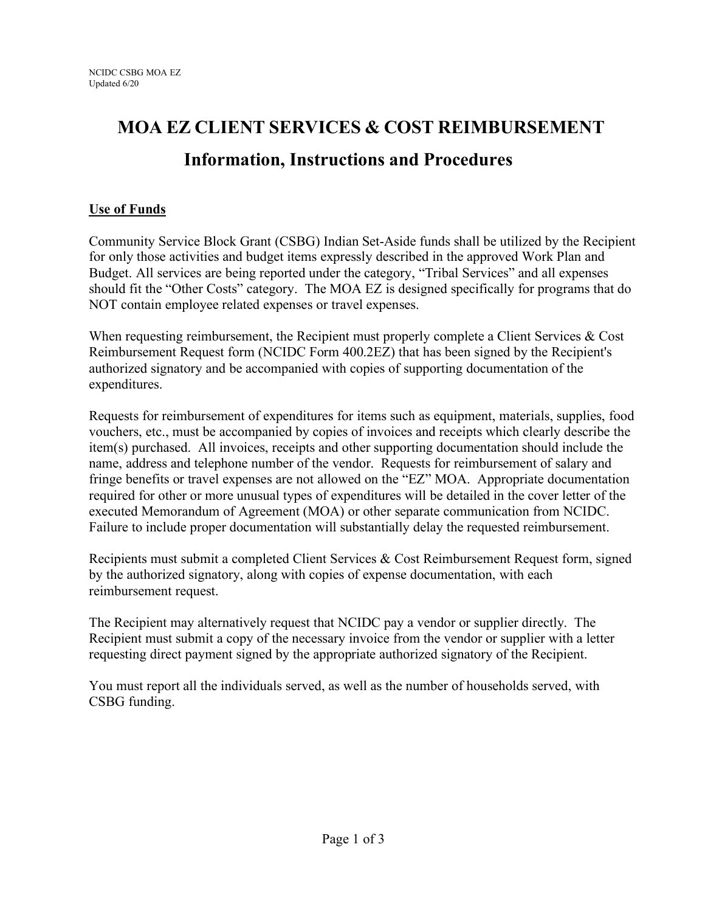# **MOA EZ CLIENT SERVICES & COST REIMBURSEMENT Information, Instructions and Procedures**

# **Use of Funds**

Community Service Block Grant (CSBG) Indian Set-Aside funds shall be utilized by the Recipient for only those activities and budget items expressly described in the approved Work Plan and Budget. All services are being reported under the category, "Tribal Services" and all expenses should fit the "Other Costs" category. The MOA EZ is designed specifically for programs that do NOT contain employee related expenses or travel expenses.

When requesting reimbursement, the Recipient must properly complete a Client Services & Cost Reimbursement Request form (NCIDC Form 400.2EZ) that has been signed by the Recipient's authorized signatory and be accompanied with copies of supporting documentation of the expenditures.

Requests for reimbursement of expenditures for items such as equipment, materials, supplies, food vouchers, etc., must be accompanied by copies of invoices and receipts which clearly describe the item(s) purchased. All invoices, receipts and other supporting documentation should include the name, address and telephone number of the vendor. Requests for reimbursement of salary and fringe benefits or travel expenses are not allowed on the "EZ" MOA. Appropriate documentation required for other or more unusual types of expenditures will be detailed in the cover letter of the executed Memorandum of Agreement (MOA) or other separate communication from NCIDC. Failure to include proper documentation will substantially delay the requested reimbursement.

Recipients must submit a completed Client Services & Cost Reimbursement Request form, signed by the authorized signatory, along with copies of expense documentation, with each reimbursement request.

The Recipient may alternatively request that NCIDC pay a vendor or supplier directly. The Recipient must submit a copy of the necessary invoice from the vendor or supplier with a letter requesting direct payment signed by the appropriate authorized signatory of the Recipient.

You must report all the individuals served, as well as the number of households served, with CSBG funding.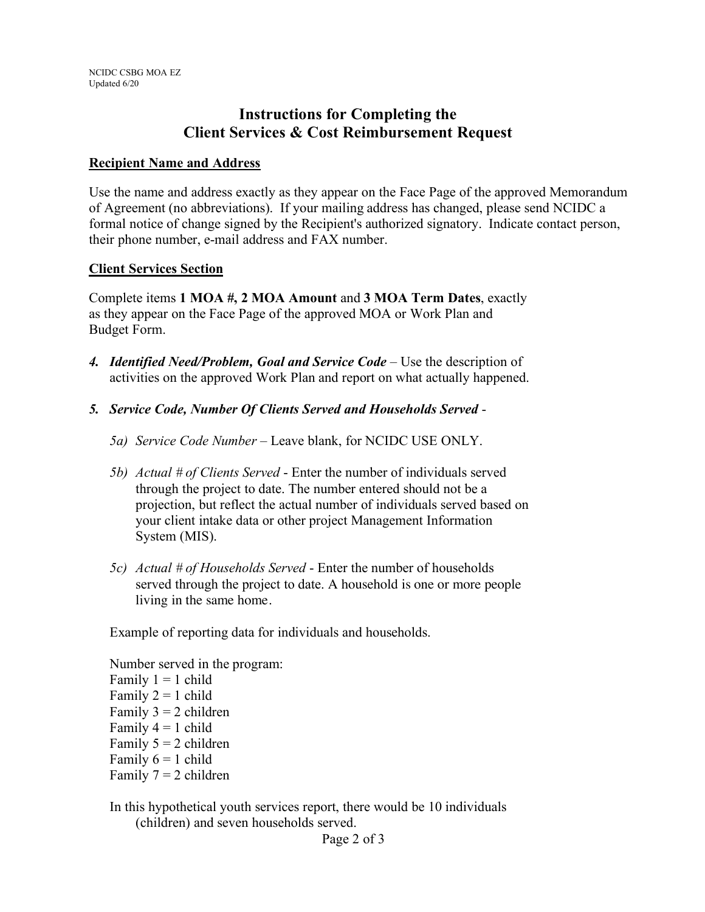# **Instructions for Completing the Client Services & Cost Reimbursement Request**

### **Recipient Name and Address**

Use the name and address exactly as they appear on the Face Page of the approved Memorandum of Agreement (no abbreviations). If your mailing address has changed, please send NCIDC a formal notice of change signed by the Recipient's authorized signatory. Indicate contact person, their phone number, e-mail address and FAX number.

#### **Client Services Section**

Complete items **1 MOA #, 2 MOA Amount** and **3 MOA Term Dates**, exactly as they appear on the Face Page of the approved MOA or Work Plan and Budget Form.

- *4. Identified Need/Problem, Goal and Service Code –* Use the description of activities on the approved Work Plan and report on what actually happened.
- *5. Service Code, Number Of Clients Served and Households Served*
	- *5a) Service Code Number* Leave blank, for NCIDC USE ONLY.
	- *5b) Actual # of Clients Served* Enter the number of individuals served through the project to date. The number entered should not be a projection, but reflect the actual number of individuals served based on your client intake data or other project Management Information System (MIS).
	- *5c) Actual # of Households Served* Enter the number of households served through the project to date. A household is one or more people living in the same home.

Example of reporting data for individuals and households.

Number served in the program: Family  $1 = 1$  child Family  $2 = 1$  child Family  $3 = 2$  children Family  $4 = 1$  child Family  $5 = 2$  children Family  $6 = 1$  child Family  $7 = 2$  children

In this hypothetical youth services report, there would be 10 individuals (children) and seven households served.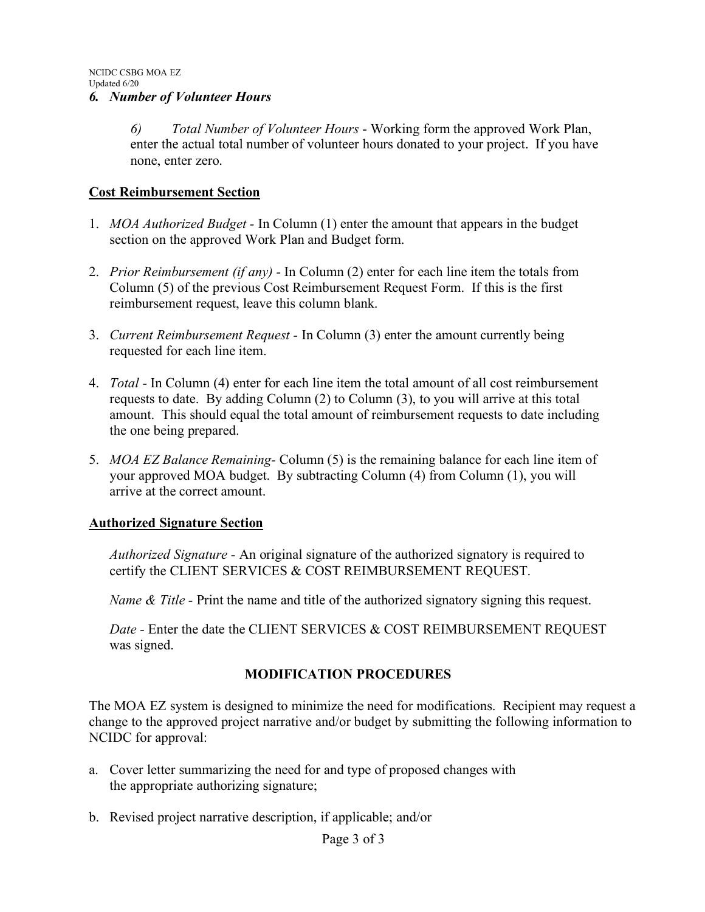#### *6. Number of Volunteer Hours*

*6) Total Number of Volunteer Hours* - Working form the approved Work Plan, enter the actual total number of volunteer hours donated to your project. If you have none, enter zero.

#### **Cost Reimbursement Section**

- 1. *MOA Authorized Budget -* In Column (1) enter the amount that appears in the budget section on the approved Work Plan and Budget form.
- 2. *Prior Reimbursement (if any) -* In Column (2) enter for each line item the totals from Column (5) of the previous Cost Reimbursement Request Form. If this is the first reimbursement request, leave this column blank.
- 3. *Current Reimbursement Request -* In Column (3) enter the amount currently being requested for each line item.
- 4. *Total -* In Column (4) enter for each line item the total amount of all cost reimbursement requests to date. By adding Column (2) to Column (3), to you will arrive at this total amount. This should equal the total amount of reimbursement requests to date including the one being prepared.
- 5. *MOA EZ Balance Remaining-* Column (5) is the remaining balance for each line item of your approved MOA budget. By subtracting Column (4) from Column (1), you will arrive at the correct amount.

#### **Authorized Signature Section**

*Authorized Signature -* An original signature of the authorized signatory is required to certify the CLIENT SERVICES & COST REIMBURSEMENT REQUEST.

*Name & Title* - Print the name and title of the authorized signatory signing this request.

*Date -* Enter the date the CLIENT SERVICES & COST REIMBURSEMENT REQUEST was signed.

## **MODIFICATION PROCEDURES**

The MOA EZ system is designed to minimize the need for modifications. Recipient may request a change to the approved project narrative and/or budget by submitting the following information to NCIDC for approval:

- a. Cover letter summarizing the need for and type of proposed changes with the appropriate authorizing signature;
- b. Revised project narrative description, if applicable; and/or